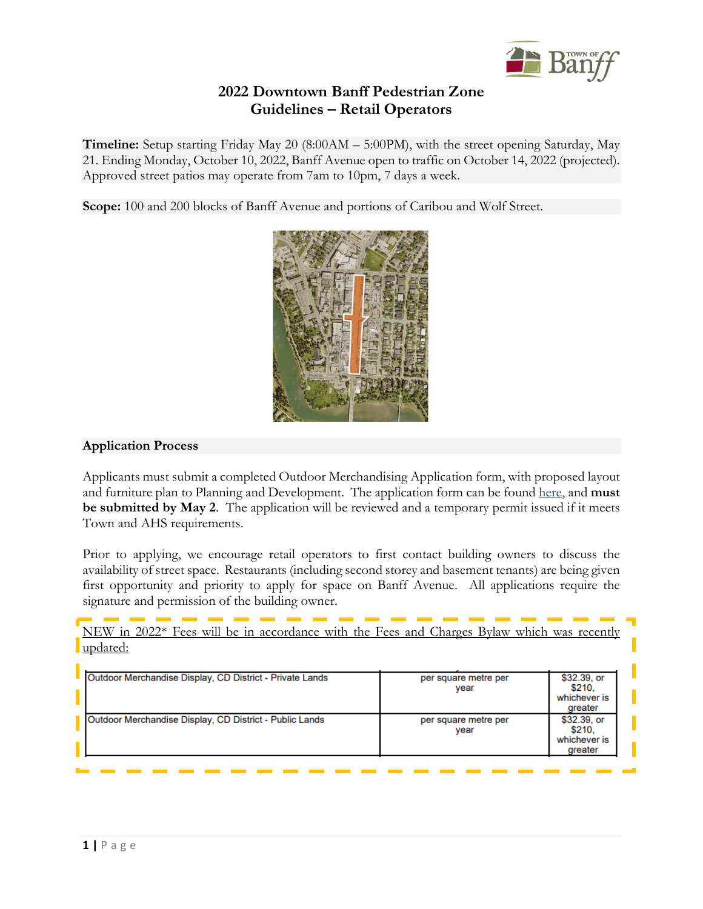

# **2022 Downtown Banff Pedestrian Zone Guidelines – Retail Operators**

**Timeline:** Setup starting Friday May 20 (8:00AM – 5:00PM), with the street opening Saturday, May 21. Ending Monday, October 10, 2022, Banff Avenue open to traffic on October 14, 2022 (projected). Approved street patios may operate from 7am to 10pm, 7 days a week.

**Scope:** 100 and 200 blocks of Banff Avenue and portions of Caribou and Wolf Street.



## **Application Process**

Applicants must submit a completed Outdoor Merchandising Application form, with proposed layout and furniture plan to Planning and Development. The application form can be found [here,](https://banff.ca/FormCenter/Applications-2/Outdoor-Merchandising-Display-150) and **must be submitted by May 2**. The application will be reviewed and a temporary permit issued if it meets Town and AHS requirements.

Prior to applying, we encourage retail operators to first contact building owners to discuss the availability of street space. Restaurants (including second storey and basement tenants) are being given first opportunity and priority to apply for space on Banff Avenue. All applications require the signature and permission of the building owner.

NEW in 2022\* Fees will be in accordance with the Fees and Charges Bylaw which was recently updated:

| Outdoor Merchandise Display, CD District - Private Lands | per square metre per<br>year | \$32.39, or<br>\$210.<br>whichever is<br>greater |
|----------------------------------------------------------|------------------------------|--------------------------------------------------|
| Outdoor Merchandise Display, CD District - Public Lands  | per square metre per<br>vear | \$32.39, or<br>\$210.<br>whichever is<br>greater |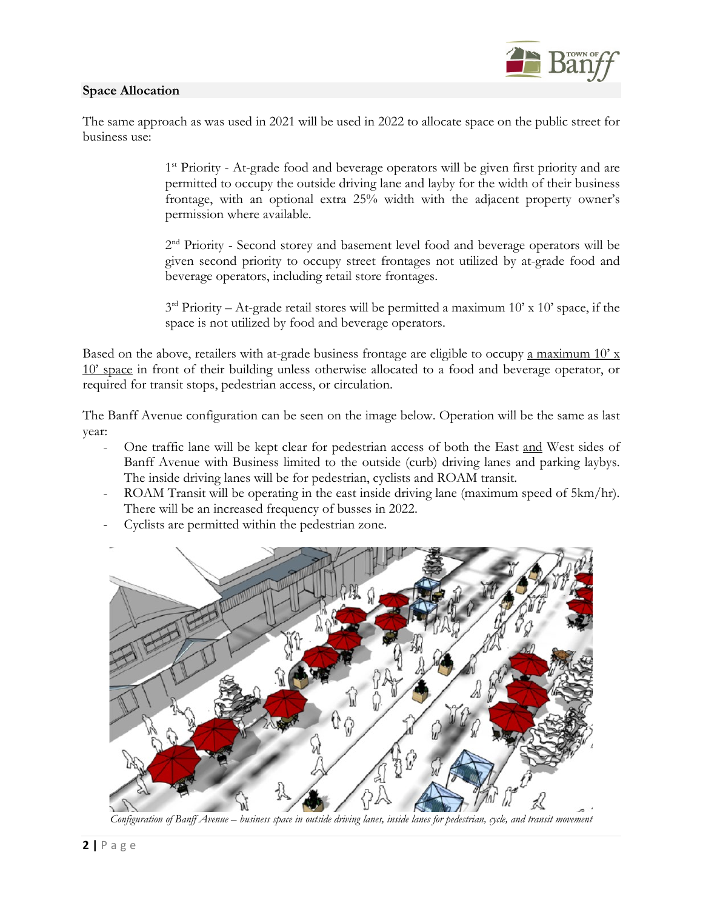### **Space Allocation**



The same approach as was used in 2021 will be used in 2022 to allocate space on the public street for business use:

> <sup>1st</sup> Priority - At-grade food and beverage operators will be given first priority and are permitted to occupy the outside driving lane and layby for the width of their business frontage, with an optional extra 25% width with the adjacent property owner's permission where available.

> 2<sup>nd</sup> Priority - Second storey and basement level food and beverage operators will be given second priority to occupy street frontages not utilized by at-grade food and beverage operators, including retail store frontages.

> $3<sup>rd</sup>$  Priority – At-grade retail stores will be permitted a maximum 10' x 10' space, if the space is not utilized by food and beverage operators.

Based on the above, retailers with at-grade business frontage are eligible to occupy a maximum  $10' x$ 10' space in front of their building unless otherwise allocated to a food and beverage operator, or required for transit stops, pedestrian access, or circulation.

The Banff Avenue configuration can be seen on the image below. Operation will be the same as last year:

- One traffic lane will be kept clear for pedestrian access of both the East and West sides of Banff Avenue with Business limited to the outside (curb) driving lanes and parking laybys. The inside driving lanes will be for pedestrian, cyclists and ROAM transit.
- ROAM Transit will be operating in the east inside driving lane (maximum speed of 5km/hr). There will be an increased frequency of busses in 2022.
- Cyclists are permitted within the pedestrian zone.



*Configuration of Banff Avenue – business space in outside driving lanes, inside lanes for pedestrian, cycle, and transit movement*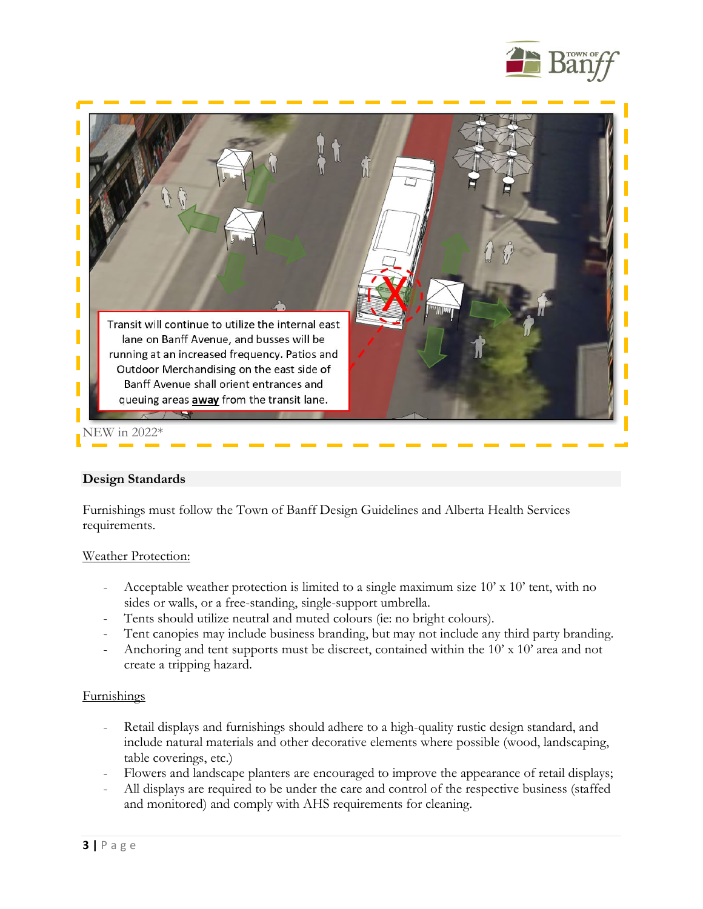



### **Design Standards**

Furnishings must follow the Town of Banff Design Guidelines and Alberta Health Services requirements.

### Weather Protection:

- Acceptable weather protection is limited to a single maximum size 10' x 10' tent, with no sides or walls, or a free-standing, single-support umbrella.
- Tents should utilize neutral and muted colours (ie: no bright colours).
- Tent canopies may include business branding, but may not include any third party branding.
- Anchoring and tent supports must be discreet, contained within the 10' x 10' area and not create a tripping hazard.

### **Furnishings**

- Retail displays and furnishings should adhere to a high-quality rustic design standard, and include natural materials and other decorative elements where possible (wood, landscaping, table coverings, etc.)
- Flowers and landscape planters are encouraged to improve the appearance of retail displays;
- All displays are required to be under the care and control of the respective business (staffed and monitored) and comply with AHS requirements for cleaning.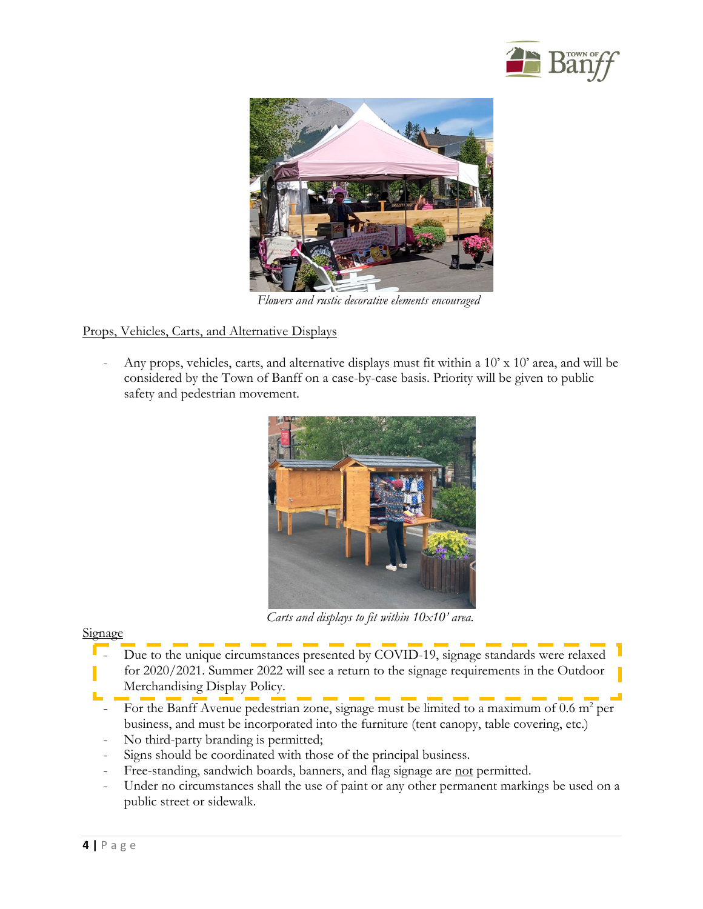



 *Flowers and rustic decorative elements encouraged*

# Props, Vehicles, Carts, and Alternative Displays

Any props, vehicles, carts, and alternative displays must fit within a 10' x 10' area, and will be considered by the Town of Banff on a case-by-case basis. Priority will be given to public safety and pedestrian movement.



 *Carts and displays to fit within 10x10' area.*

### **Signage**

- Due to the unique circumstances presented by COVID-19, signage standards were relaxed for 2020/2021. Summer 2022 will see a return to the signage requirements in the Outdoor Merchandising Display Policy.
- For the Banff Avenue pedestrian zone, signage must be limited to a maximum of  $0.6$  m<sup>2</sup> per business, and must be incorporated into the furniture (tent canopy, table covering, etc.)
- No third-party branding is permitted;
- Signs should be coordinated with those of the principal business.
- Free-standing, sandwich boards, banners, and flag signage are not permitted.
- Under no circumstances shall the use of paint or any other permanent markings be used on a public street or sidewalk.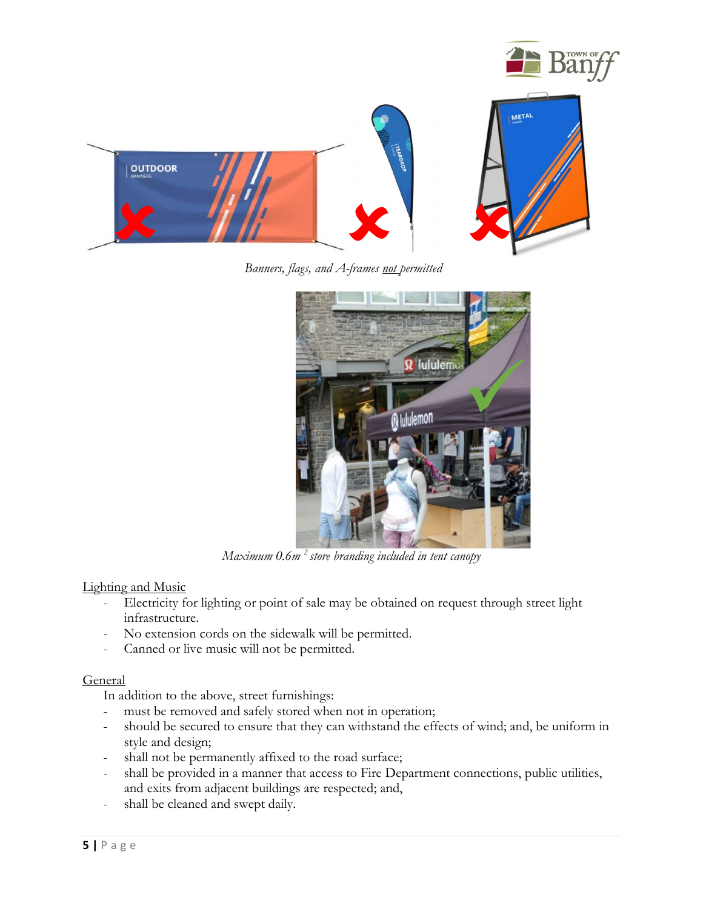

*Banners, flags, and A-frames not permitted*



*Maximum 0.6m 2 store branding included in tent canopy*

# Lighting and Music

- Electricity for lighting or point of sale may be obtained on request through street light infrastructure.
- No extension cords on the sidewalk will be permitted.
- Canned or live music will not be permitted.

### **General**

In addition to the above, street furnishings:

- must be removed and safely stored when not in operation;
- should be secured to ensure that they can withstand the effects of wind; and, be uniform in style and design;
- shall not be permanently affixed to the road surface;
- shall be provided in a manner that access to Fire Department connections, public utilities, and exits from adjacent buildings are respected; and,
- shall be cleaned and swept daily.